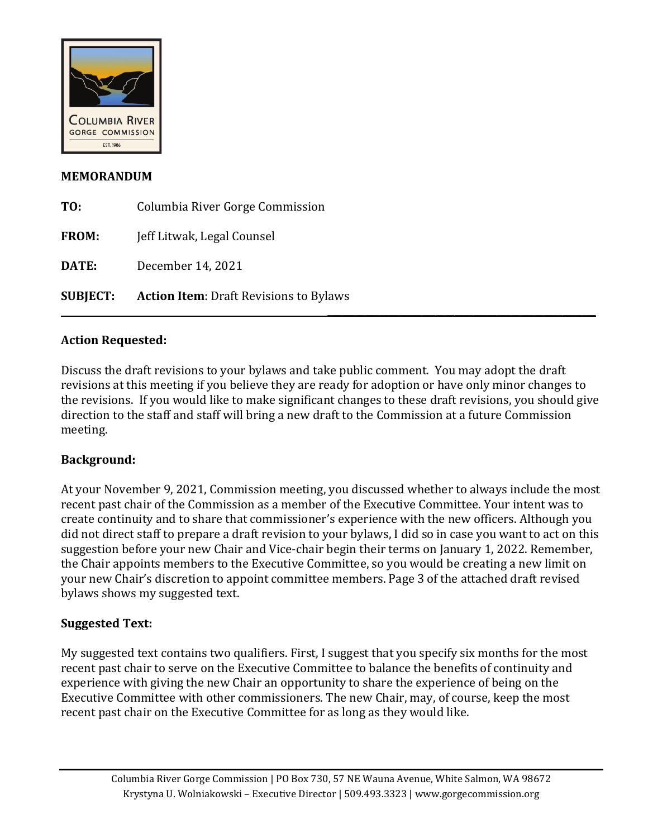

### **MEMORANDUM**

| <b>SUBJECT:</b> | <b>Action Item: Draft Revisions to Bylaws</b> |
|-----------------|-----------------------------------------------|
| DATE:           | December 14, 2021                             |
| <b>FROM:</b>    | Jeff Litwak, Legal Counsel                    |
| TO:             | Columbia River Gorge Commission               |

### **Action Requested:**

Discuss the draft revisions to your bylaws and take public comment. You may adopt the draft revisions at this meeting if you believe they are ready for adoption or have only minor changes to the revisions. If you would like to make significant changes to these draft revisions, you should give direction to the staff and staff will bring a new draft to the Commission at a future Commission meeting.

### **Background:**

At your November 9, 2021, Commission meeting, you discussed whether to always include the most recent past chair of the Commission as a member of the Executive Committee. Your intent was to create continuity and to share that commissioner's experience with the new officers. Although you did not direct staff to prepare a draft revision to your bylaws, I did so in case you want to act on this suggestion before your new Chair and Vice-chair begin their terms on January 1, 2022. Remember, the Chair appoints members to the Executive Committee, so you would be creating a new limit on your new Chair's discretion to appoint committee members. Page 3 of the attached draft revised bylaws shows my suggested text.

# **Suggested Text:**

My suggested text contains two qualifiers. First, I suggest that you specify six months for the most recent past chair to serve on the Executive Committee to balance the benefits of continuity and experience with giving the new Chair an opportunity to share the experience of being on the Executive Committee with other commissioners. The new Chair, may, of course, keep the most recent past chair on the Executive Committee for as long as they would like.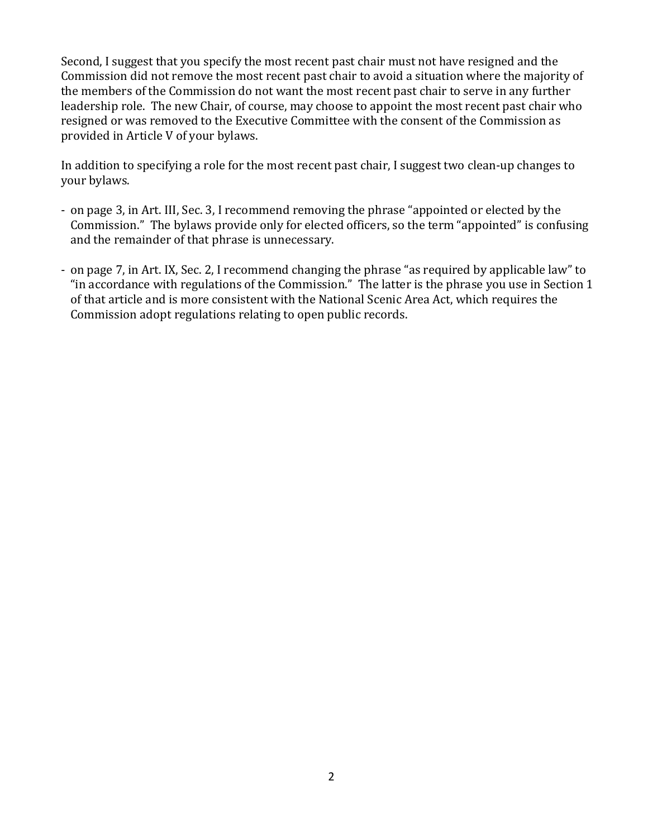Second, I suggest that you specify the most recent past chair must not have resigned and the Commission did not remove the most recent past chair to avoid a situation where the majority of the members of the Commission do not want the most recent past chair to serve in any further leadership role. The new Chair, of course, may choose to appoint the most recent past chair who resigned or was removed to the Executive Committee with the consent of the Commission as provided in Article V of your bylaws.

In addition to specifying a role for the most recent past chair, I suggest two clean-up changes to your bylaws.

- on page 3, in Art. III, Sec. 3, I recommend removing the phrase "appointed or elected by the Commission." The bylaws provide only for elected officers, so the term "appointed" is confusing and the remainder of that phrase is unnecessary.
- on page 7, in Art. IX, Sec. 2, I recommend changing the phrase "as required by applicable law" to "in accordance with regulations of the Commission." The latter is the phrase you use in Section 1 of that article and is more consistent with the National Scenic Area Act, which requires the Commission adopt regulations relating to open public records.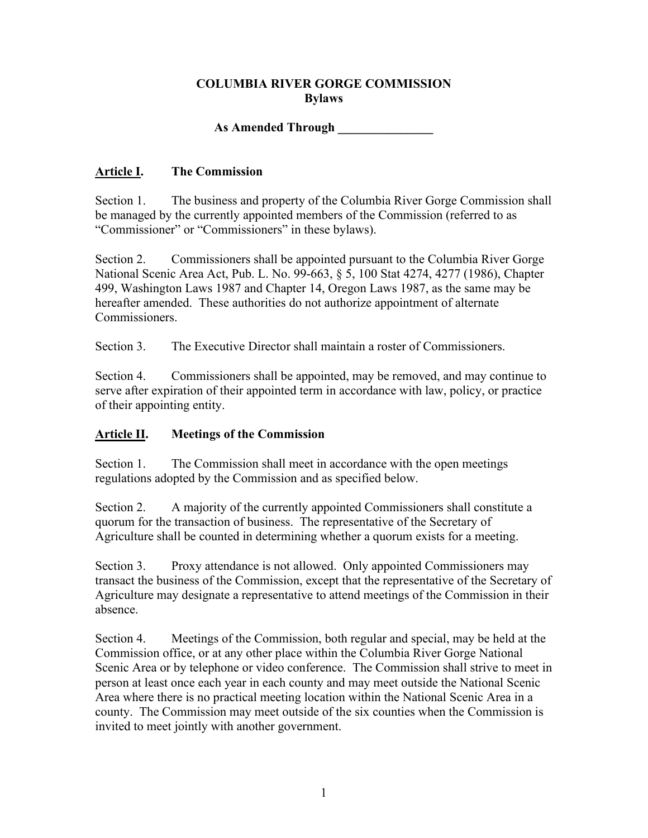### **COLUMBIA RIVER GORGE COMMISSION Bylaws**

# **As Amended Through \_\_\_\_\_\_\_\_\_\_\_\_\_\_\_**

### **Article I. The Commission**

Section 1. The business and property of the Columbia River Gorge Commission shall be managed by the currently appointed members of the Commission (referred to as "Commissioner" or "Commissioners" in these bylaws).

Section 2. Commissioners shall be appointed pursuant to the Columbia River Gorge National Scenic Area Act, Pub. L. No. 99-663, § 5, 100 Stat 4274, 4277 (1986), Chapter 499, Washington Laws 1987 and Chapter 14, Oregon Laws 1987, as the same may be hereafter amended. These authorities do not authorize appointment of alternate Commissioners.

Section 3. The Executive Director shall maintain a roster of Commissioners.

Section 4. Commissioners shall be appointed, may be removed, and may continue to serve after expiration of their appointed term in accordance with law, policy, or practice of their appointing entity.

### **Article II. Meetings of the Commission**

Section 1. The Commission shall meet in accordance with the open meetings regulations adopted by the Commission and as specified below.

Section 2. A majority of the currently appointed Commissioners shall constitute a quorum for the transaction of business. The representative of the Secretary of Agriculture shall be counted in determining whether a quorum exists for a meeting.

Section 3. Proxy attendance is not allowed. Only appointed Commissioners may transact the business of the Commission, except that the representative of the Secretary of Agriculture may designate a representative to attend meetings of the Commission in their absence.

Section 4. Meetings of the Commission, both regular and special, may be held at the Commission office, or at any other place within the Columbia River Gorge National Scenic Area or by telephone or video conference. The Commission shall strive to meet in person at least once each year in each county and may meet outside the National Scenic Area where there is no practical meeting location within the National Scenic Area in a county. The Commission may meet outside of the six counties when the Commission is invited to meet jointly with another government.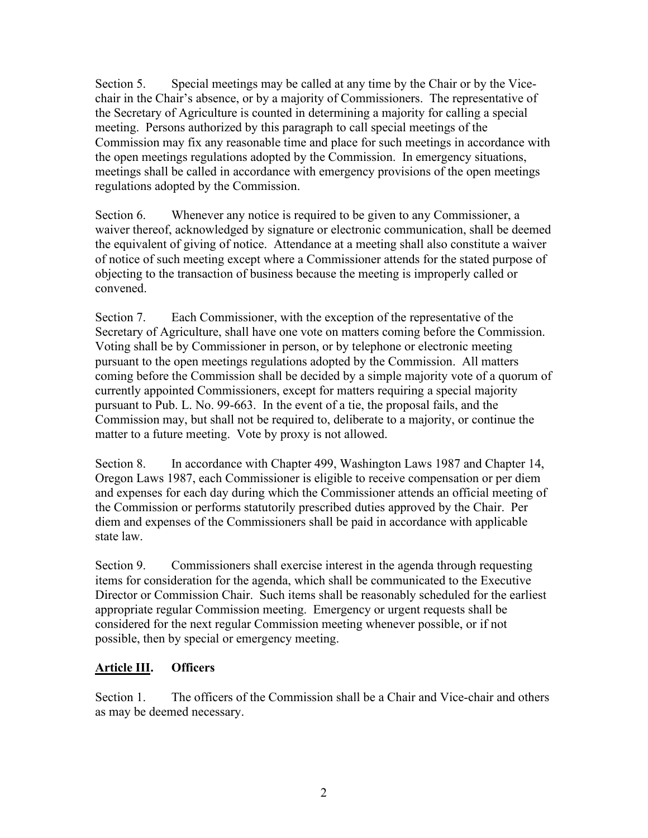Section 5. Special meetings may be called at any time by the Chair or by the Vicechair in the Chair's absence, or by a majority of Commissioners. The representative of the Secretary of Agriculture is counted in determining a majority for calling a special meeting. Persons authorized by this paragraph to call special meetings of the Commission may fix any reasonable time and place for such meetings in accordance with the open meetings regulations adopted by the Commission. In emergency situations, meetings shall be called in accordance with emergency provisions of the open meetings regulations adopted by the Commission.

Section 6. Whenever any notice is required to be given to any Commissioner, a waiver thereof, acknowledged by signature or electronic communication, shall be deemed the equivalent of giving of notice. Attendance at a meeting shall also constitute a waiver of notice of such meeting except where a Commissioner attends for the stated purpose of objecting to the transaction of business because the meeting is improperly called or convened.

Section 7. Each Commissioner, with the exception of the representative of the Secretary of Agriculture, shall have one vote on matters coming before the Commission. Voting shall be by Commissioner in person, or by telephone or electronic meeting pursuant to the open meetings regulations adopted by the Commission. All matters coming before the Commission shall be decided by a simple majority vote of a quorum of currently appointed Commissioners, except for matters requiring a special majority pursuant to Pub. L. No. 99-663. In the event of a tie, the proposal fails, and the Commission may, but shall not be required to, deliberate to a majority, or continue the matter to a future meeting. Vote by proxy is not allowed.

Section 8. In accordance with Chapter 499, Washington Laws 1987 and Chapter 14, Oregon Laws 1987, each Commissioner is eligible to receive compensation or per diem and expenses for each day during which the Commissioner attends an official meeting of the Commission or performs statutorily prescribed duties approved by the Chair. Per diem and expenses of the Commissioners shall be paid in accordance with applicable state law.

Section 9. Commissioners shall exercise interest in the agenda through requesting items for consideration for the agenda, which shall be communicated to the Executive Director or Commission Chair. Such items shall be reasonably scheduled for the earliest appropriate regular Commission meeting. Emergency or urgent requests shall be considered for the next regular Commission meeting whenever possible, or if not possible, then by special or emergency meeting.

### **Article III. Officers**

Section 1. The officers of the Commission shall be a Chair and Vice-chair and others as may be deemed necessary.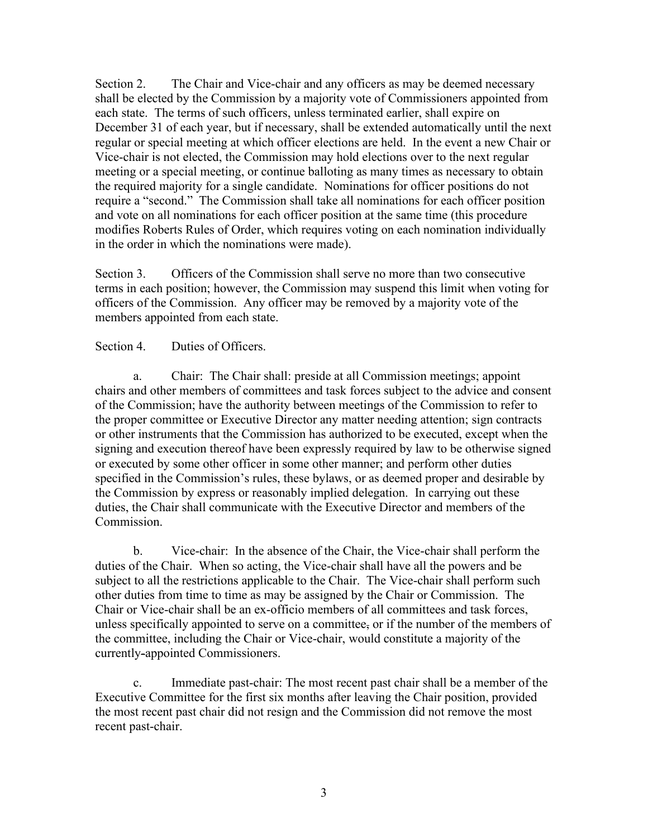Section 2. The Chair and Vice-chair and any officers as may be deemed necessary shall be elected by the Commission by a majority vote of Commissioners appointed from each state. The terms of such officers, unless terminated earlier, shall expire on December 31 of each year, but if necessary, shall be extended automatically until the next regular or special meeting at which officer elections are held. In the event a new Chair or Vice-chair is not elected, the Commission may hold elections over to the next regular meeting or a special meeting, or continue balloting as many times as necessary to obtain the required majority for a single candidate. Nominations for officer positions do not require a "second." The Commission shall take all nominations for each officer position and vote on all nominations for each officer position at the same time (this procedure modifies Roberts Rules of Order, which requires voting on each nomination individually in the order in which the nominations were made).

Section 3. Officers of the Commission shall serve no more than two consecutive terms in each position; however, the Commission may suspend this limit when voting for officers of the Commission. Any officer may be removed by a majority vote of the members appointed from each state.

#### Section 4. Duties of Officers.

a. Chair: The Chair shall: preside at all Commission meetings; appoint chairs and other members of committees and task forces subject to the advice and consent of the Commission; have the authority between meetings of the Commission to refer to the proper committee or Executive Director any matter needing attention; sign contracts or other instruments that the Commission has authorized to be executed, except when the signing and execution thereof have been expressly required by law to be otherwise signed or executed by some other officer in some other manner; and perform other duties specified in the Commission's rules, these bylaws, or as deemed proper and desirable by the Commission by express or reasonably implied delegation. In carrying out these duties, the Chair shall communicate with the Executive Director and members of the Commission.

b. Vice-chair: In the absence of the Chair, the Vice-chair shall perform the duties of the Chair. When so acting, the Vice-chair shall have all the powers and be subject to all the restrictions applicable to the Chair. The Vice-chair shall perform such other duties from time to time as may be assigned by the Chair or Commission. The Chair or Vice-chair shall be an ex-officio members of all committees and task forces, unless specifically appointed to serve on a committee, or if the number of the members of the committee, including the Chair or Vice-chair, would constitute a majority of the currently-appointed Commissioners.

c. Immediate past-chair: The most recent past chair shall be a member of the Executive Committee for the first six months after leaving the Chair position, provided the most recent past chair did not resign and the Commission did not remove the most recent past-chair.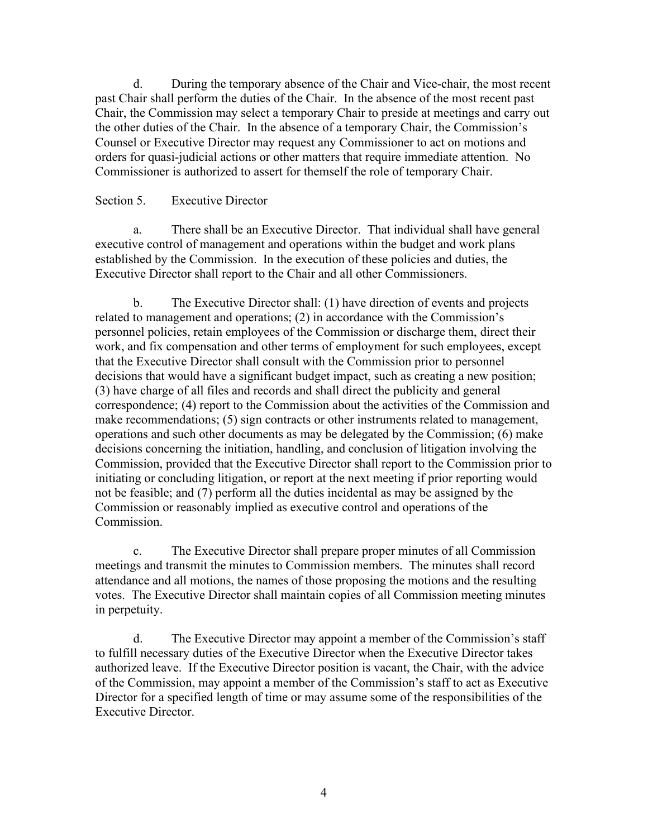d. During the temporary absence of the Chair and Vice-chair, the most recent past Chair shall perform the duties of the Chair. In the absence of the most recent past Chair, the Commission may select a temporary Chair to preside at meetings and carry out the other duties of the Chair. In the absence of a temporary Chair, the Commission's Counsel or Executive Director may request any Commissioner to act on motions and orders for quasi-judicial actions or other matters that require immediate attention. No Commissioner is authorized to assert for themself the role of temporary Chair.

#### Section 5. Executive Director

a. There shall be an Executive Director. That individual shall have general executive control of management and operations within the budget and work plans established by the Commission. In the execution of these policies and duties, the Executive Director shall report to the Chair and all other Commissioners.

b. The Executive Director shall: (1) have direction of events and projects related to management and operations; (2) in accordance with the Commission's personnel policies, retain employees of the Commission or discharge them, direct their work, and fix compensation and other terms of employment for such employees, except that the Executive Director shall consult with the Commission prior to personnel decisions that would have a significant budget impact, such as creating a new position; (3) have charge of all files and records and shall direct the publicity and general correspondence; (4) report to the Commission about the activities of the Commission and make recommendations; (5) sign contracts or other instruments related to management, operations and such other documents as may be delegated by the Commission; (6) make decisions concerning the initiation, handling, and conclusion of litigation involving the Commission, provided that the Executive Director shall report to the Commission prior to initiating or concluding litigation, or report at the next meeting if prior reporting would not be feasible; and (7) perform all the duties incidental as may be assigned by the Commission or reasonably implied as executive control and operations of the Commission.

c. The Executive Director shall prepare proper minutes of all Commission meetings and transmit the minutes to Commission members. The minutes shall record attendance and all motions, the names of those proposing the motions and the resulting votes. The Executive Director shall maintain copies of all Commission meeting minutes in perpetuity.

d. The Executive Director may appoint a member of the Commission's staff to fulfill necessary duties of the Executive Director when the Executive Director takes authorized leave. If the Executive Director position is vacant, the Chair, with the advice of the Commission, may appoint a member of the Commission's staff to act as Executive Director for a specified length of time or may assume some of the responsibilities of the Executive Director.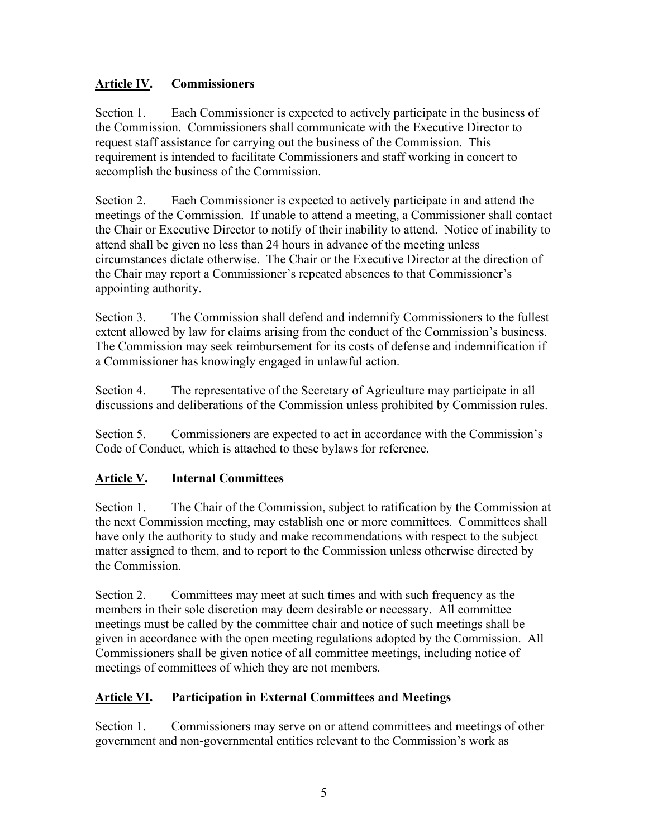### **Article IV. Commissioners**

Section 1. Each Commissioner is expected to actively participate in the business of the Commission. Commissioners shall communicate with the Executive Director to request staff assistance for carrying out the business of the Commission. This requirement is intended to facilitate Commissioners and staff working in concert to accomplish the business of the Commission.

Section 2. Each Commissioner is expected to actively participate in and attend the meetings of the Commission. If unable to attend a meeting, a Commissioner shall contact the Chair or Executive Director to notify of their inability to attend. Notice of inability to attend shall be given no less than 24 hours in advance of the meeting unless circumstances dictate otherwise. The Chair or the Executive Director at the direction of the Chair may report a Commissioner's repeated absences to that Commissioner's appointing authority.

Section 3. The Commission shall defend and indemnify Commissioners to the fullest extent allowed by law for claims arising from the conduct of the Commission's business. The Commission may seek reimbursement for its costs of defense and indemnification if a Commissioner has knowingly engaged in unlawful action.

Section 4. The representative of the Secretary of Agriculture may participate in all discussions and deliberations of the Commission unless prohibited by Commission rules.

Section 5. Commissioners are expected to act in accordance with the Commission's Code of Conduct, which is attached to these bylaws for reference.

# **Article V. Internal Committees**

Section 1. The Chair of the Commission, subject to ratification by the Commission at the next Commission meeting, may establish one or more committees. Committees shall have only the authority to study and make recommendations with respect to the subject matter assigned to them, and to report to the Commission unless otherwise directed by the Commission.

Section 2. Committees may meet at such times and with such frequency as the members in their sole discretion may deem desirable or necessary. All committee meetings must be called by the committee chair and notice of such meetings shall be given in accordance with the open meeting regulations adopted by the Commission. All Commissioners shall be given notice of all committee meetings, including notice of meetings of committees of which they are not members.

# **Article VI. Participation in External Committees and Meetings**

Section 1. Commissioners may serve on or attend committees and meetings of other government and non-governmental entities relevant to the Commission's work as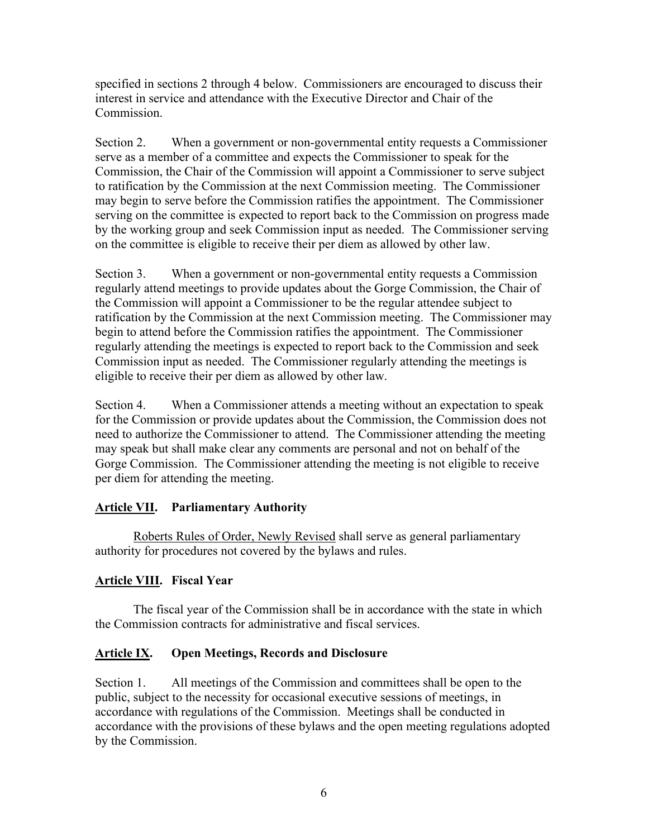specified in sections 2 through 4 below. Commissioners are encouraged to discuss their interest in service and attendance with the Executive Director and Chair of the Commission.

Section 2. When a government or non-governmental entity requests a Commissioner serve as a member of a committee and expects the Commissioner to speak for the Commission, the Chair of the Commission will appoint a Commissioner to serve subject to ratification by the Commission at the next Commission meeting. The Commissioner may begin to serve before the Commission ratifies the appointment. The Commissioner serving on the committee is expected to report back to the Commission on progress made by the working group and seek Commission input as needed. The Commissioner serving on the committee is eligible to receive their per diem as allowed by other law.

Section 3. When a government or non-governmental entity requests a Commission regularly attend meetings to provide updates about the Gorge Commission, the Chair of the Commission will appoint a Commissioner to be the regular attendee subject to ratification by the Commission at the next Commission meeting. The Commissioner may begin to attend before the Commission ratifies the appointment. The Commissioner regularly attending the meetings is expected to report back to the Commission and seek Commission input as needed. The Commissioner regularly attending the meetings is eligible to receive their per diem as allowed by other law.

Section 4. When a Commissioner attends a meeting without an expectation to speak for the Commission or provide updates about the Commission, the Commission does not need to authorize the Commissioner to attend. The Commissioner attending the meeting may speak but shall make clear any comments are personal and not on behalf of the Gorge Commission. The Commissioner attending the meeting is not eligible to receive per diem for attending the meeting.

# **Article VII. Parliamentary Authority**

Roberts Rules of Order, Newly Revised shall serve as general parliamentary authority for procedures not covered by the bylaws and rules.

# **Article VIII. Fiscal Year**

The fiscal year of the Commission shall be in accordance with the state in which the Commission contracts for administrative and fiscal services.

# **Article IX. Open Meetings, Records and Disclosure**

Section 1. All meetings of the Commission and committees shall be open to the public, subject to the necessity for occasional executive sessions of meetings, in accordance with regulations of the Commission. Meetings shall be conducted in accordance with the provisions of these bylaws and the open meeting regulations adopted by the Commission.